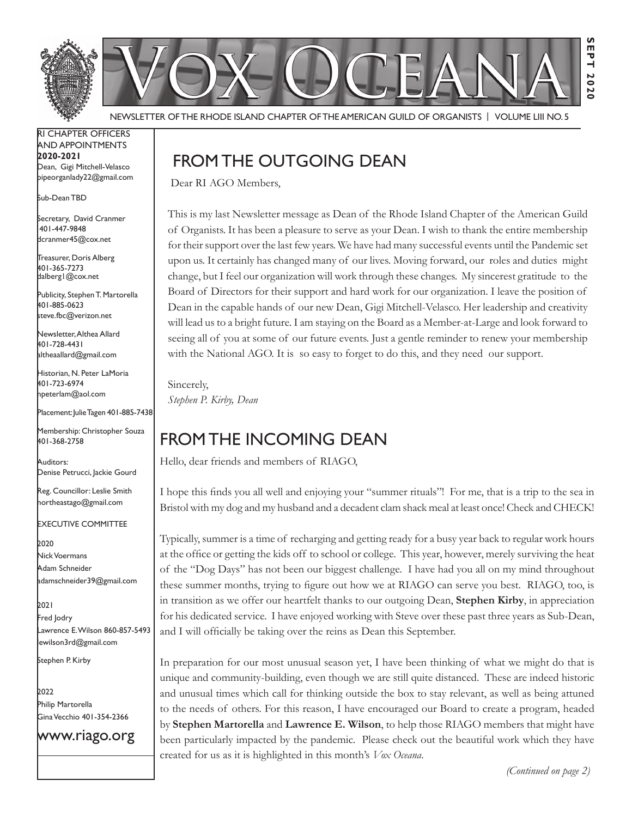

Newsletter of the Rhode Island Chapter of the American Guild of OrganistS | Volume LIII No. 5

RI Chapter Officers and Appointments **2020-2021** Dean, Gigi Mitchell-Velasco pipeorganlady22@gmail.com

Sub-Dean TBD

Secretary, David Cranmer 401-447-9848 dcranmer45@cox.net

Treasurer, Doris Alberg 401-365-7273 dalberg1@cox.net I

Publicity, Stephen T. Martorella 401-885-0623 steve.fbc@verizon.net

Newsletter, Althea Allard 401-728-4431 altheaallard@gmail.com

Historian, N. Peter LaMoria 401-723-6974 npeterlam@aol.com

Placement: Julie Tagen 401-885-7438

Membership: Christopher Souza 401-368-2758

Auditors: Denise Petrucci, Jackie Gourd

Reg. Councillor: Leslie Smith northeastago@gmail.com

Executive Committee

**2**020 Nick Voermans Adam Schneider adamschneider39@gmail.com

2021 Fred Jodry Lawrence E. Wilson 860-857-5493 ewilson3rd@gmail.com

Stephen P. Kirby

bozz Philip Martorella Gina Vecchio 401-354-2366

www.riago.org

# From the Outgoing Dean

Dear RI AGO Members,

This is my last Newsletter message as Dean of the Rhode Island Chapter of the American Guild of Organists. It has been a pleasure to serve as your Dean. I wish to thank the entire membership for their support over the last few years. We have had many successful events until the Pandemic set upon us. It certainly has changed many of our lives. Moving forward, our roles and duties might change, but I feel our organization will work through these changes. My sincerest gratitude to the Board of Directors for their support and hard work for our organization. I leave the position of Dean in the capable hands of our new Dean, Gigi Mitchell-Velasco. Her leadership and creativity will lead us to a bright future. I am staying on the Board as a Member-at-Large and look forward to seeing all of you at some of our future events. Just a gentle reminder to renew your membership with the National AGO. It is so easy to forget to do this, and they need our support.

Sincerely, *Stephen P. Kirby, Dean* 

# From the Incoming Dean

Hello, dear friends and members of RIAGO,

I hope this finds you all well and enjoying your "summer rituals"! For me, that is a trip to the sea in Bristol with my dog and my husband and a decadent clam shack meal at least once! Check and CHECK!

Typically, summer is a time of recharging and getting ready for a busy year back to regular work hours at the office or getting the kids off to school or college. This year, however, merely surviving the heat of the "Dog Days" has not been our biggest challenge. I have had you all on my mind throughout these summer months, trying to figure out how we at RIAGO can serve you best. RIAGO, too, is in transition as we offer our heartfelt thanks to our outgoing Dean, **Stephen Kirby**, in appreciation for his dedicated service. I have enjoyed working with Steve over these past three years as Sub-Dean, and I will officially be taking over the reins as Dean this September.

In preparation for our most unusual season yet, I have been thinking of what we might do that is unique and community-building, even though we are still quite distanced. These are indeed historic and unusual times which call for thinking outside the box to stay relevant, as well as being attuned to the needs of others. For this reason, I have encouraged our Board to create a program, headed by **Stephen Martorella** and **Lawrence E. Wilson**, to help those RIAGO members that might have been particularly impacted by the pandemic. Please check out the beautiful work which they have created for us as it is highlighted in this month's *Vox Oceana*.

*(Continued on page 2)*

**Sept 2020**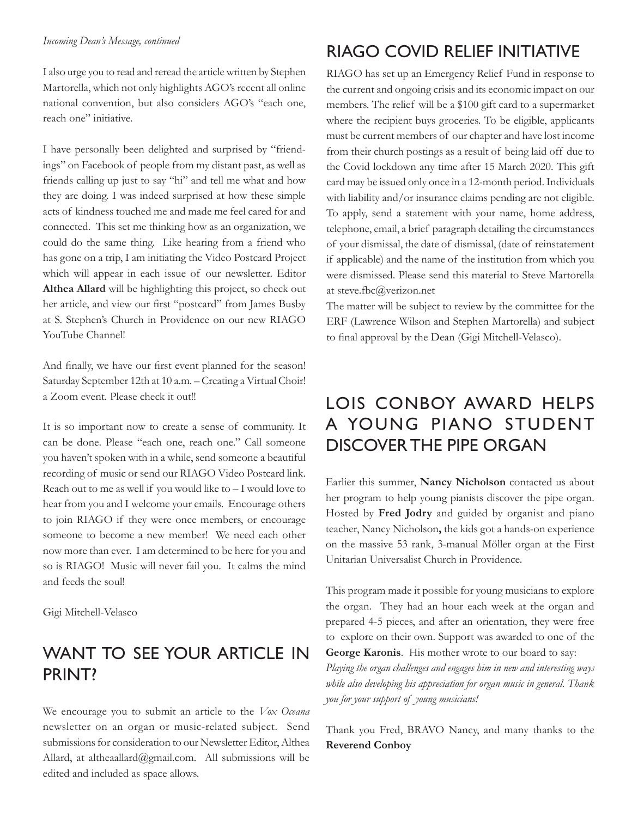I also urge you to read and reread the article written by Stephen Martorella, which not only highlights AGO's recent all online national convention, but also considers AGO's "each one, reach one" initiative.

I have personally been delighted and surprised by "friendings" on Facebook of people from my distant past, as well as friends calling up just to say "hi" and tell me what and how they are doing. I was indeed surprised at how these simple acts of kindness touched me and made me feel cared for and connected. This set me thinking how as an organization, we could do the same thing. Like hearing from a friend who has gone on a trip, I am initiating the Video Postcard Project which will appear in each issue of our newsletter. Editor **Althea Allard** will be highlighting this project, so check out her article, and view our first "postcard" from James Busby at S. Stephen's Church in Providence on our new RIAGO YouTube Channel!

And finally, we have our first event planned for the season! Saturday September 12th at 10 a.m. – Creating a Virtual Choir! a Zoom event. Please check it out!!

It is so important now to create a sense of community. It can be done. Please "each one, reach one." Call someone you haven't spoken with in a while, send someone a beautiful recording of music or send our RIAGO Video Postcard link. Reach out to me as well if you would like to  $-1$  would love to hear from you and I welcome your emails. Encourage others to join RIAGO if they were once members, or encourage someone to become a new member! We need each other now more than ever. I am determined to be here for you and so is RIAGO! Music will never fail you. It calms the mind and feeds the soul!

Gigi Mitchell-Velasco

### WANT TO SEE YOUR ARTICLE IN PRINT?

We encourage you to submit an article to the *Vox Oceana* newsletter on an organ or music-related subject. Send submissions for consideration to our Newsletter Editor, Althea Allard, at altheaallard@gmail.com. All submissions will be edited and included as space allows.

# RIAGO Covid Relief Initiative

RIAGO has set up an Emergency Relief Fund in response to the current and ongoing crisis and its economic impact on our members. The relief will be a \$100 gift card to a supermarket where the recipient buys groceries. To be eligible, applicants must be current members of our chapter and have lost income from their church postings as a result of being laid off due to the Covid lockdown any time after 15 March 2020. This gift card may be issued only once in a 12-month period. Individuals with liability and/or insurance claims pending are not eligible. To apply, send a statement with your name, home address, telephone, email, a brief paragraph detailing the circumstances of your dismissal, the date of dismissal, (date of reinstatement if applicable) and the name of the institution from which you were dismissed. Please send this material to Steve Martorella at steve.fbc@verizon.net

The matter will be subject to review by the committee for the ERF (Lawrence Wilson and Stephen Martorella) and subject to final approval by the Dean (Gigi Mitchell-Velasco).

# LOIS CONBOY AWARD HELPS A YOUNG PIANO STUDENT DISCOVER THE PIPE ORGAN

Earlier this summer, **Nancy Nicholson** contacted us about her program to help young pianists discover the pipe organ. Hosted by **Fred Jodry** and guided by organist and piano teacher, Nancy Nicholson**,** the kids got a hands-on experience on the massive 53 rank, 3-manual Möller organ at the First Unitarian Universalist Church in Providence.

This program made it possible for young musicians to explore the organ. They had an hour each week at the organ and prepared 4-5 pieces, and after an orientation, they were free to explore on their own. Support was awarded to one of the **George Karonis**. His mother wrote to our board to say:

*Playing the organ challenges and engages him in new and interesting ways while also developing his appreciation for organ music in general. Thank you for your support of young musicians!*

Thank you Fred, BRAVO Nancy, and many thanks to the **Reverend Conboy**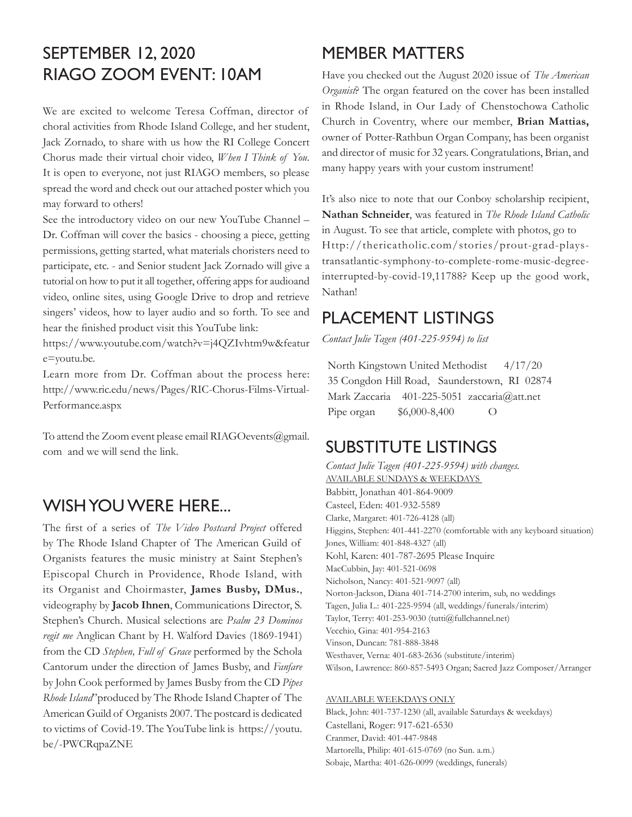# SEPTEMBER 12, 2020 RIAGO ZOOM EVENT: 10AM

We are excited to welcome Teresa Coffman, director of choral activities from Rhode Island College, and her student, Jack Zornado, to share with us how the RI College Concert Chorus made their virtual choir video, *When I Think of You*. It is open to everyone, not just RIAGO members, so please spread the word and check out our attached poster which you may forward to others!

See the introductory video on our new YouTube Channel – Dr. Coffman will cover the basics - choosing a piece, getting permissions, getting started, what materials choristers need to participate, etc. - and Senior student Jack Zornado will give a tutorial on how to put it all together, offering apps for audioand video, online sites, using Google Drive to drop and retrieve singers' videos, how to layer audio and so forth. To see and hear the finished product visit this YouTube link:

https://www.youtube.com/watch?v=j4QZIvhtm9w&featur e=youtu.be.

Learn more from Dr. Coffman about the process here: http://www.ric.edu/news/Pages/RIC-Chorus-Films-Virtual-Performance.aspx

To attend the Zoom event please email RIAGOevents@gmail. com and we will send the link.

#### WISH YOU WERE HERE...

The first of a series of *The Video Postcard Project* offered by The Rhode Island Chapter of The American Guild of Organists features the music ministry at Saint Stephen's Episcopal Church in Providence, Rhode Island, with its Organist and Choirmaster, **James Busby, DMus.**, videography by **Jacob Ihnen**, Communications Director, S. Stephen's Church. Musical selections are *Psalm 23 Dominos regit me* Anglican Chant by H. Walford Davies (1869-1941) from the CD *Stephen, Full of Grace* performed by the Schola Cantorum under the direction of James Busby, and *Fanfare* by John Cook performed by James Busby from the CD *Pipes Rhode Island*"produced by The Rhode Island Chapter of The American Guild of Organists 2007. The postcard is dedicated to victims of Covid-19. The YouTube link is https://youtu. be/-PWCRqpaZNE

# Member Matters

Have you checked out the August 2020 issue of *The American Organist*? The organ featured on the cover has been installed in Rhode Island, in Our Lady of Chenstochowa Catholic Church in Coventry, where our member, **Brian Mattias,**  owner of Potter-Rathbun Organ Company, has been organist and director of music for 32 years. Congratulations, Brian, and many happy years with your custom instrument!

It's also nice to note that our Conboy scholarship recipient, **Nathan Schneider**, was featured in *The Rhode Island Catholic*  in August. To see that article, complete with photos, go to Http://thericatholic.com/stories/prout-grad-playstransatlantic-symphony-to-complete-rome-music-degreeinterrupted-by-covid-19,11788? Keep up the good work, Nathan!

### Placement Listings

*Contact Julie Tagen (401-225-9594) to list*

 North Kingstown United Methodist 4/17/20 35 Congdon Hill Road, Saunderstown, RI 02874 Mark Zaccaria 401-225-5051 zaccaria@att.net Pipe organ \$6,000-8,400 O

# Substitute Listings

*Contact Julie Tagen (401-225-9594) with changes.* Available Sundays & Weekdays Babbitt, Jonathan 401-864-9009 Casteel, Eden: 401-932-5589 Clarke, Margaret: 401-726-4128 (all) Higgins, Stephen: 401-441-2270 (comfortable with any keyboard situation) Jones, William: 401-848-4327 (all) Kohl, Karen: 401-787-2695 Please Inquire MacCubbin, Jay: 401-521-0698 Nicholson, Nancy: 401-521-9097 (all) Norton-Jackson, Diana 401-714-2700 interim, sub, no weddings Tagen, Julia L.: 401-225-9594 (all, weddings/funerals/interim) Taylor, Terry: 401-253-9030 (tutti@fullchannel.net) Vecchio, Gina: 401-954-2163 Vinson, Duncan: 781-888-3848 Westhaver, Verna: 401-683-2636 (substitute/interim) Wilson, Lawrence: 860-857-5493 Organ; Sacred Jazz Composer/Arranger

#### Available Weekdays only

Black, John: 401-737-1230 (all, available Saturdays & weekdays) Castellani, Roger: 917-621-6530 Cranmer, David: 401-447-9848 Martorella, Philip: 401-615-0769 (no Sun. a.m.) Sobaje, Martha: 401-626-0099 (weddings, funerals)